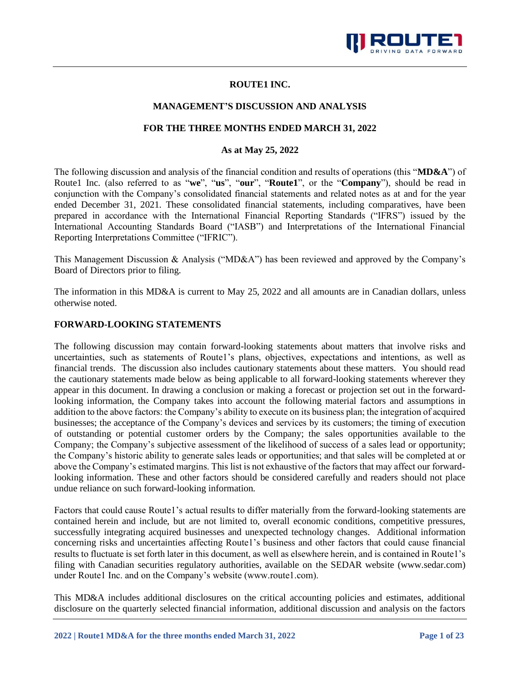

### **ROUTE1 INC.**

#### **MANAGEMENT'S DISCUSSION AND ANALYSIS**

### **FOR THE THREE MONTHS ENDED MARCH 31, 2022**

#### **As at May 25, 2022**

The following discussion and analysis of the financial condition and results of operations (this "**MD&A**") of Route1 Inc. (also referred to as "**we**", "**us**", "**our**", "**Route1**", or the "**Company**"), should be read in conjunction with the Company's consolidated financial statements and related notes as at and for the year ended December 31, 2021. These consolidated financial statements, including comparatives, have been prepared in accordance with the International Financial Reporting Standards ("IFRS") issued by the International Accounting Standards Board ("IASB") and Interpretations of the International Financial Reporting Interpretations Committee ("IFRIC").

This Management Discussion & Analysis ("MD&A") has been reviewed and approved by the Company's Board of Directors prior to filing.

The information in this MD&A is current to May 25, 2022 and all amounts are in Canadian dollars, unless otherwise noted.

### **FORWARD-LOOKING STATEMENTS**

The following discussion may contain forward-looking statements about matters that involve risks and uncertainties, such as statements of Route1's plans, objectives, expectations and intentions, as well as financial trends. The discussion also includes cautionary statements about these matters. You should read the cautionary statements made below as being applicable to all forward-looking statements wherever they appear in this document. In drawing a conclusion or making a forecast or projection set out in the forwardlooking information, the Company takes into account the following material factors and assumptions in addition to the above factors: the Company's ability to execute on its business plan; the integration of acquired businesses; the acceptance of the Company's devices and services by its customers; the timing of execution of outstanding or potential customer orders by the Company; the sales opportunities available to the Company; the Company's subjective assessment of the likelihood of success of a sales lead or opportunity; the Company's historic ability to generate sales leads or opportunities; and that sales will be completed at or above the Company's estimated margins. This list is not exhaustive of the factors that may affect our forwardlooking information. These and other factors should be considered carefully and readers should not place undue reliance on such forward-looking information.

Factors that could cause Route1's actual results to differ materially from the forward-looking statements are contained herein and include, but are not limited to, overall economic conditions, competitive pressures, successfully integrating acquired businesses and unexpected technology changes. Additional information concerning risks and uncertainties affecting Route1's business and other factors that could cause financial results to fluctuate is set forth later in this document, as well as elsewhere herein, and is contained in Route1's filing with Canadian securities regulatory authorities, available on the SEDAR website (www.sedar.com) under Route1 Inc. and on the Company's website (www.route1.com).

This MD&A includes additional disclosures on the critical accounting policies and estimates, additional disclosure on the quarterly selected financial information, additional discussion and analysis on the factors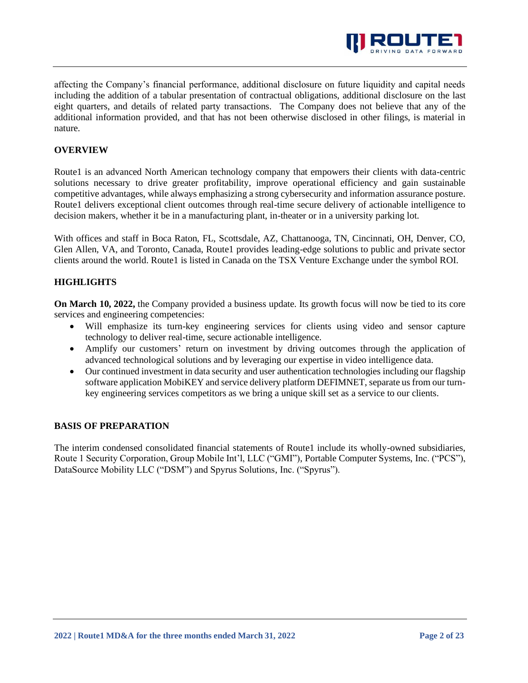

### **OVERVIEW**

Route1 is an advanced North American technology company that empowers their clients with data-centric solutions necessary to drive greater profitability, improve operational efficiency and gain sustainable competitive advantages, while always emphasizing a strong cybersecurity and information assurance posture. Route1 delivers exceptional client outcomes through real-time secure delivery of actionable intelligence to decision makers, whether it be in a manufacturing plant, in-theater or in a university parking lot.

With offices and staff in Boca Raton, FL, Scottsdale, AZ, Chattanooga, TN, Cincinnati, OH, Denver, CO, Glen Allen, VA, and Toronto, Canada, Route1 provides leading-edge solutions to public and private sector clients around the world. Route1 is listed in Canada on the TSX Venture Exchange under the symbol ROI.

### **HIGHLIGHTS**

**On March 10, 2022,** the Company provided a business update. Its growth focus will now be tied to its core services and engineering competencies:

- Will emphasize its turn-key engineering services for clients using video and sensor capture technology to deliver real-time, secure actionable intelligence.
- Amplify our customers' return on investment by driving outcomes through the application of advanced technological solutions and by leveraging our expertise in video intelligence data.
- Our continued investment in data security and user authentication technologies including our flagship software application MobiKEY and service delivery platform DEFIMNET, separate us from our turnkey engineering services competitors as we bring a unique skill set as a service to our clients.

#### **BASIS OF PREPARATION**

The interim condensed consolidated financial statements of Route1 include its wholly-owned subsidiaries, Route 1 Security Corporation, Group Mobile Int'l, LLC ("GMI"), Portable Computer Systems, Inc. ("PCS"), DataSource Mobility LLC ("DSM") and Spyrus Solutions, Inc. ("Spyrus").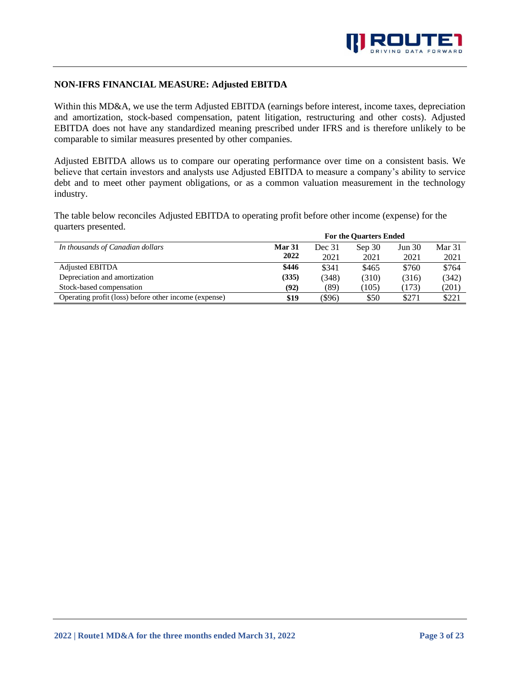### **NON-IFRS FINANCIAL MEASURE: Adjusted EBITDA**

Within this MD&A, we use the term Adjusted EBITDA (earnings before interest, income taxes, depreciation and amortization, stock-based compensation, patent litigation, restructuring and other costs). Adjusted EBITDA does not have any standardized meaning prescribed under IFRS and is therefore unlikely to be comparable to similar measures presented by other companies.

Adjusted EBITDA allows us to compare our operating performance over time on a consistent basis. We believe that certain investors and analysts use Adjusted EBITDA to measure a company's ability to service debt and to meet other payment obligations, or as a common valuation measurement in the technology industry.

The table below reconciles Adjusted EBITDA to operating profit before other income (expense) for the quarters presented.

|                                                       | <b>For the Quarters Ended</b> |        |        |        |        |  |
|-------------------------------------------------------|-------------------------------|--------|--------|--------|--------|--|
| In thousands of Canadian dollars                      | Mar 31                        | Dec 31 | Sep 30 | Jun 30 | Mar 31 |  |
|                                                       | 2022                          | 2021   | 2021   | 2021   | 2021   |  |
| Adjusted EBITDA                                       | \$446                         | \$341  | \$465  | \$760  | \$764  |  |
| Depreciation and amortization                         | (335)                         | (348)  | (310)  | (316)  | (342)  |  |
| Stock-based compensation                              | (92)                          | (89)   | (105)  | (173)  | (201)  |  |
| Operating profit (loss) before other income (expense) | \$19                          | (\$96) | \$50   | \$271  | \$221  |  |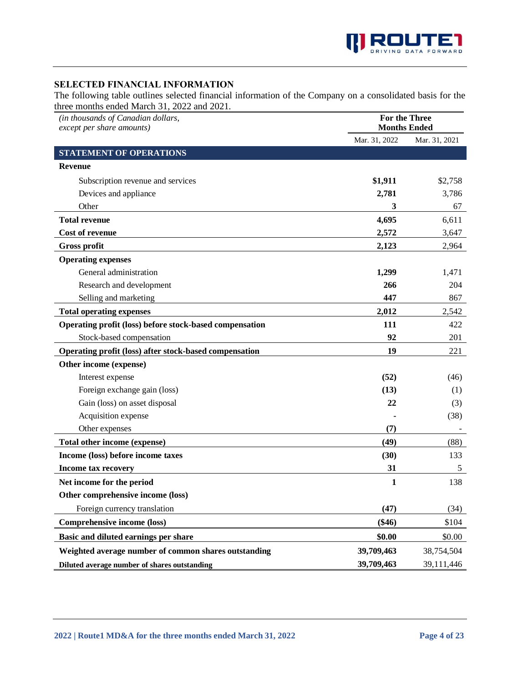### **SELECTED FINANCIAL INFORMATION**

The following table outlines selected financial information of the Company on a consolidated basis for the three months ended March 31, 2022 and 2021.

| (in thousands of Canadian dollars,<br>except per share amounts) | <b>For the Three</b><br><b>Months Ended</b> |               |
|-----------------------------------------------------------------|---------------------------------------------|---------------|
|                                                                 | Mar. 31, 2022                               | Mar. 31, 2021 |
| <b>STATEMENT OF OPERATIONS</b>                                  |                                             |               |
| <b>Revenue</b>                                                  |                                             |               |
| Subscription revenue and services                               | \$1,911                                     | \$2,758       |
| Devices and appliance                                           | 2,781                                       | 3,786         |
| Other                                                           | 3                                           | 67            |
| <b>Total revenue</b>                                            | 4,695                                       | 6,611         |
| <b>Cost of revenue</b>                                          | 2,572                                       | 3,647         |
| <b>Gross profit</b>                                             | 2,123                                       | 2,964         |
| <b>Operating expenses</b>                                       |                                             |               |
| General administration                                          | 1,299                                       | 1,471         |
| Research and development                                        | 266                                         | 204           |
| Selling and marketing                                           | 447                                         | 867           |
| <b>Total operating expenses</b>                                 | 2,012                                       | 2,542         |
| Operating profit (loss) before stock-based compensation         | 111                                         | 422           |
| Stock-based compensation                                        | 92                                          | 201           |
| Operating profit (loss) after stock-based compensation          | 19                                          | 221           |
| Other income (expense)                                          |                                             |               |
| Interest expense                                                | (52)                                        | (46)          |
| Foreign exchange gain (loss)                                    | (13)                                        | (1)           |
| Gain (loss) on asset disposal                                   | 22                                          | (3)           |
| Acquisition expense                                             |                                             | (38)          |
| Other expenses                                                  | (7)                                         |               |
| Total other income (expense)                                    | (49)                                        | (88)          |
| Income (loss) before income taxes                               | (30)                                        | 133           |
| <b>Income tax recovery</b>                                      | 31                                          | 5             |
| Net income for the period                                       | 1                                           | 138           |
| Other comprehensive income (loss)                               |                                             |               |
| Foreign currency translation                                    | (47)                                        | (34)          |
| Comprehensive income (loss)                                     | $(\$46)$                                    | \$104         |
| Basic and diluted earnings per share                            | \$0.00                                      | \$0.00        |
| Weighted average number of common shares outstanding            | 39,709,463                                  | 38,754,504    |
| Diluted average number of shares outstanding                    | 39,709,463                                  | 39,111,446    |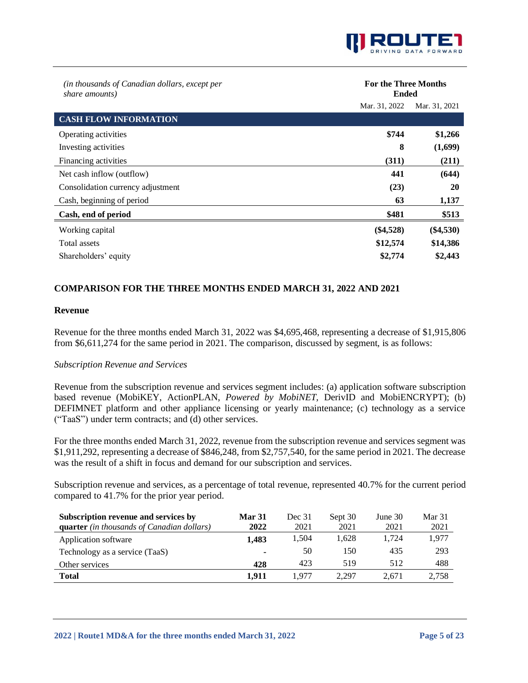

| (in thousands of Canadian dollars, except per<br>share amounts) | <b>For the Three Months</b><br><b>Ended</b> |               |
|-----------------------------------------------------------------|---------------------------------------------|---------------|
|                                                                 | Mar. 31, 2022                               | Mar. 31, 2021 |
| <b>CASH FLOW INFORMATION</b>                                    |                                             |               |
| Operating activities                                            | \$744                                       | \$1,266       |
| Investing activities                                            | 8                                           | (1,699)       |
| Financing activities                                            | (311)                                       | (211)         |
| Net cash inflow (outflow)                                       | 441                                         | (644)         |
| Consolidation currency adjustment                               | (23)                                        | 20            |
| Cash, beginning of period                                       | 63                                          | 1,137         |
| Cash, end of period                                             | \$481                                       | \$513         |
| Working capital                                                 | $(\$4,528)$                                 | $(\$4,530)$   |
| Total assets                                                    | \$12,574                                    | \$14,386      |
| Shareholders' equity                                            | \$2,774                                     | \$2,443       |

# **COMPARISON FOR THE THREE MONTHS ENDED MARCH 31, 2022 AND 2021**

### **Revenue**

Revenue for the three months ended March 31, 2022 was \$4,695,468, representing a decrease of \$1,915,806 from \$6,611,274 for the same period in 2021. The comparison, discussed by segment, is as follows:

### *Subscription Revenue and Services*

Revenue from the subscription revenue and services segment includes: (a) application software subscription based revenue (MobiKEY, ActionPLAN, *Powered by MobiNET,* DerivID and MobiENCRYPT); (b) DEFIMNET platform and other appliance licensing or yearly maintenance; (c) technology as a service ("TaaS") under term contracts; and (d) other services.

For the three months ended March 31, 2022, revenue from the subscription revenue and services segment was \$1,911,292, representing a decrease of \$846,248, from \$2,757,540, for the same period in 2021. The decrease was the result of a shift in focus and demand for our subscription and services.

Subscription revenue and services, as a percentage of total revenue, represented 40.7% for the current period compared to 41.7% for the prior year period.

| Subscription revenue and services by              | <b>Mar 31</b>  | Dec 31 | Sept 30 | June $30$ | Mar 31 |
|---------------------------------------------------|----------------|--------|---------|-----------|--------|
| <b>quarter</b> (in thousands of Canadian dollars) | 2022           | 2021   | 2021    | 2021      | 2021   |
| Application software                              | 1.483          | 1.504  | 1.628   | 1.724     | 1,977  |
| Technology as a service (TaaS)                    | $\blacksquare$ | 50     | 150     | 435       | 293    |
| Other services                                    | 428            | 423    | 519     | 512       | 488    |
| <b>Total</b>                                      | 1.911          | 1.977  | 2.297   | 2.671     | 2.758  |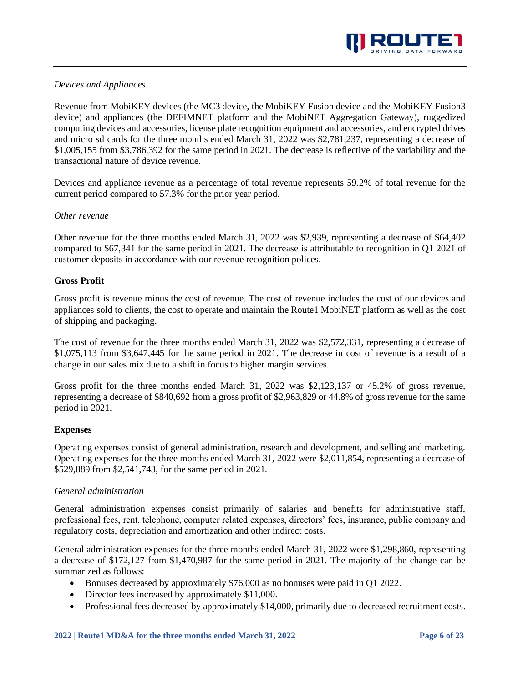

### *Devices and Appliances*

Revenue from MobiKEY devices (the MC3 device, the MobiKEY Fusion device and the MobiKEY Fusion3 device) and appliances (the DEFIMNET platform and the MobiNET Aggregation Gateway), ruggedized computing devices and accessories, license plate recognition equipment and accessories, and encrypted drives and micro sd cards for the three months ended March 31, 2022 was \$2,781,237, representing a decrease of \$1,005,155 from \$3,786,392 for the same period in 2021. The decrease is reflective of the variability and the transactional nature of device revenue.

Devices and appliance revenue as a percentage of total revenue represents 59.2% of total revenue for the current period compared to 57.3% for the prior year period.

### *Other revenue*

Other revenue for the three months ended March 31, 2022 was \$2,939, representing a decrease of \$64,402 compared to \$67,341 for the same period in 2021. The decrease is attributable to recognition in Q1 2021 of customer deposits in accordance with our revenue recognition polices.

#### **Gross Profit**

Gross profit is revenue minus the cost of revenue. The cost of revenue includes the cost of our devices and appliances sold to clients, the cost to operate and maintain the Route1 MobiNET platform as well as the cost of shipping and packaging.

The cost of revenue for the three months ended March 31, 2022 was \$2,572,331, representing a decrease of \$1,075,113 from \$3,647,445 for the same period in 2021. The decrease in cost of revenue is a result of a change in our sales mix due to a shift in focus to higher margin services.

Gross profit for the three months ended March 31, 2022 was \$2,123,137 or 45.2% of gross revenue, representing a decrease of \$840,692 from a gross profit of \$2,963,829 or 44.8% of gross revenue for the same period in 2021.

### **Expenses**

Operating expenses consist of general administration, research and development, and selling and marketing. Operating expenses for the three months ended March 31, 2022 were \$2,011,854, representing a decrease of \$529,889 from \$2,541,743, for the same period in 2021.

### *General administration*

General administration expenses consist primarily of salaries and benefits for administrative staff, professional fees, rent, telephone, computer related expenses, directors' fees, insurance, public company and regulatory costs, depreciation and amortization and other indirect costs.

General administration expenses for the three months ended March 31, 2022 were \$1,298,860, representing a decrease of \$172,127 from \$1,470,987 for the same period in 2021. The majority of the change can be summarized as follows:

- Bonuses decreased by approximately \$76,000 as no bonuses were paid in Q1 2022.
- Director fees increased by approximately \$11,000.
- Professional fees decreased by approximately \$14,000, primarily due to decreased recruitment costs.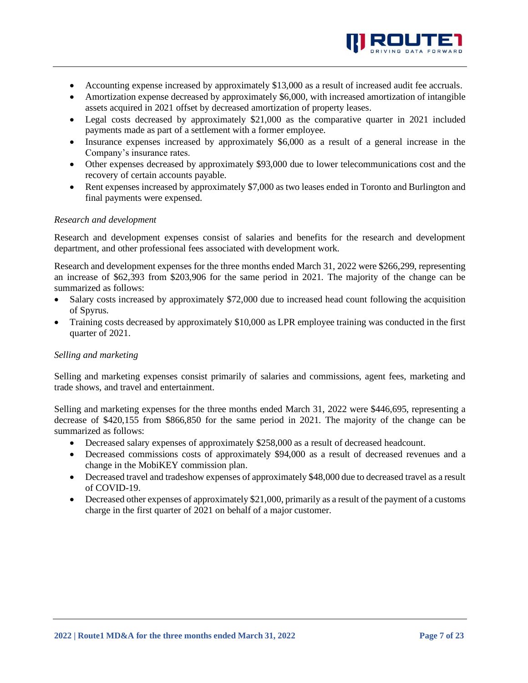

- Accounting expense increased by approximately \$13,000 as a result of increased audit fee accruals.
- Amortization expense decreased by approximately \$6,000, with increased amortization of intangible assets acquired in 2021 offset by decreased amortization of property leases.
- Legal costs decreased by approximately \$21,000 as the comparative quarter in 2021 included payments made as part of a settlement with a former employee.
- Insurance expenses increased by approximately \$6,000 as a result of a general increase in the Company's insurance rates.
- Other expenses decreased by approximately \$93,000 due to lower telecommunications cost and the recovery of certain accounts payable.
- Rent expenses increased by approximately \$7,000 as two leases ended in Toronto and Burlington and final payments were expensed.

### *Research and development*

Research and development expenses consist of salaries and benefits for the research and development department, and other professional fees associated with development work.

Research and development expenses for the three months ended March 31, 2022 were \$266,299, representing an increase of \$62,393 from \$203,906 for the same period in 2021. The majority of the change can be summarized as follows:

- Salary costs increased by approximately \$72,000 due to increased head count following the acquisition of Spyrus.
- Training costs decreased by approximately \$10,000 as LPR employee training was conducted in the first quarter of 2021.

### *Selling and marketing*

Selling and marketing expenses consist primarily of salaries and commissions, agent fees, marketing and trade shows, and travel and entertainment.

Selling and marketing expenses for the three months ended March 31, 2022 were \$446,695, representing a decrease of \$420,155 from \$866,850 for the same period in 2021. The majority of the change can be summarized as follows:

- Decreased salary expenses of approximately \$258,000 as a result of decreased headcount.
- Decreased commissions costs of approximately \$94,000 as a result of decreased revenues and a change in the MobiKEY commission plan.
- Decreased travel and tradeshow expenses of approximately \$48,000 due to decreased travel as a result of COVID-19.
- Decreased other expenses of approximately \$21,000, primarily as a result of the payment of a customs charge in the first quarter of 2021 on behalf of a major customer.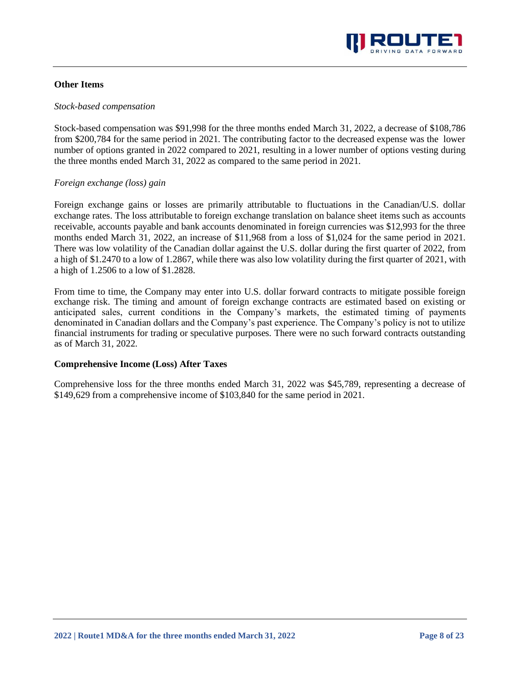

### **Other Items**

#### *Stock-based compensation*

Stock-based compensation was \$91,998 for the three months ended March 31, 2022, a decrease of \$108,786 from \$200,784 for the same period in 2021. The contributing factor to the decreased expense was the lower number of options granted in 2022 compared to 2021, resulting in a lower number of options vesting during the three months ended March 31, 2022 as compared to the same period in 2021.

### *Foreign exchange (loss) gain*

Foreign exchange gains or losses are primarily attributable to fluctuations in the Canadian/U.S. dollar exchange rates. The loss attributable to foreign exchange translation on balance sheet items such as accounts receivable, accounts payable and bank accounts denominated in foreign currencies was \$12,993 for the three months ended March 31, 2022, an increase of \$11,968 from a loss of \$1,024 for the same period in 2021. There was low volatility of the Canadian dollar against the U.S. dollar during the first quarter of 2022, from a high of \$1.2470 to a low of 1.2867, while there was also low volatility during the first quarter of 2021, with a high of 1.2506 to a low of \$1.2828.

From time to time, the Company may enter into U.S. dollar forward contracts to mitigate possible foreign exchange risk. The timing and amount of foreign exchange contracts are estimated based on existing or anticipated sales, current conditions in the Company's markets, the estimated timing of payments denominated in Canadian dollars and the Company's past experience. The Company's policy is not to utilize financial instruments for trading or speculative purposes. There were no such forward contracts outstanding as of March 31, 2022.

### **Comprehensive Income (Loss) After Taxes**

Comprehensive loss for the three months ended March 31, 2022 was \$45,789, representing a decrease of \$149,629 from a comprehensive income of \$103,840 for the same period in 2021.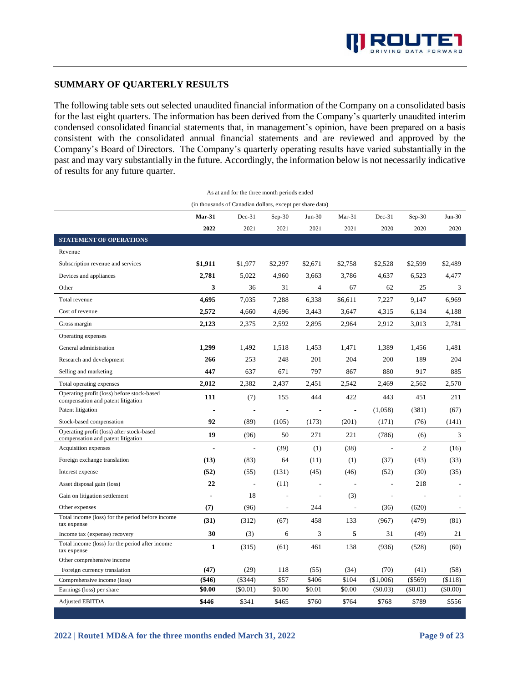# **SUMMARY OF QUARTERLY RESULTS**

The following table sets out selected unaudited financial information of the Company on a consolidated basis for the last eight quarters. The information has been derived from the Company's quarterly unaudited interim condensed consolidated financial statements that, in management's opinion, have been prepared on a basis consistent with the consolidated annual financial statements and are reviewed and approved by the Company's Board of Directors. The Company's quarterly operating results have varied substantially in the past and may vary substantially in the future. Accordingly, the information below is not necessarily indicative of results for any future quarter.

| As at and for the three month periods ended                                      |              |                                                           |                |                |                |                          |                |          |
|----------------------------------------------------------------------------------|--------------|-----------------------------------------------------------|----------------|----------------|----------------|--------------------------|----------------|----------|
|                                                                                  |              | (in thousands of Canadian dollars, except per share data) |                |                |                |                          |                |          |
|                                                                                  | $Mar-31$     | $Dec-31$                                                  | $Sep-30$       | $Jun-30$       | $Mar-31$       | $Dec-31$                 | $Sep-30$       | $Jun-30$ |
|                                                                                  | 2022         | 2021                                                      | 2021           | 2021           | 2021           | 2020                     | 2020           | 2020     |
| <b>STATEMENT OF OPERATIONS</b>                                                   |              |                                                           |                |                |                |                          |                |          |
| Revenue                                                                          |              |                                                           |                |                |                |                          |                |          |
| Subscription revenue and services                                                | \$1,911      | \$1,977                                                   | \$2,297        | \$2,671        | \$2,758        | \$2,528                  | \$2,599        | \$2,489  |
| Devices and appliances                                                           | 2,781        | 5,022                                                     | 4,960          | 3,663          | 3,786          | 4,637                    | 6,523          | 4,477    |
| Other                                                                            | 3            | 36                                                        | 31             | $\overline{4}$ | 67             | 62                       | 25             | 3        |
| Total revenue                                                                    | 4,695        | 7,035                                                     | 7,288          | 6,338          | \$6,611        | 7,227                    | 9,147          | 6,969    |
| Cost of revenue                                                                  | 2,572        | 4,660                                                     | 4,696          | 3,443          | 3,647          | 4,315                    | 6,134          | 4,188    |
| Gross margin                                                                     | 2,123        | 2,375                                                     | 2,592          | 2,895          | 2,964          | 2,912                    | 3,013          | 2,781    |
| Operating expenses                                                               |              |                                                           |                |                |                |                          |                |          |
| General administration                                                           | 1,299        | 1,492                                                     | 1,518          | 1,453          | 1,471          | 1,389                    | 1,456          | 1,481    |
| Research and development                                                         | 266          | 253                                                       | 248            | 201            | 204            | 200                      | 189            | 204      |
| Selling and marketing                                                            | 447          | 637                                                       | 671            | 797            | 867            | 880                      | 917            | 885      |
| Total operating expenses                                                         | 2,012        | 2,382                                                     | 2,437          | 2,451          | 2,542          | 2,469                    | 2,562          | 2,570    |
| Operating profit (loss) before stock-based<br>compensation and patent litigation | 111          | (7)                                                       | 155            | 444            | 422            | 443                      | 451            | 211      |
| Patent litigation                                                                |              |                                                           |                |                | $\overline{a}$ | (1,058)                  | (381)          | (67)     |
| Stock-based compensation                                                         | 92           | (89)                                                      | (105)          | (173)          | (201)          | (171)                    | (76)           | (141)    |
| Operating profit (loss) after stock-based<br>compensation and patent litigation  | 19           | (96)                                                      | 50             | 271            | 221            | (786)                    | (6)            | 3        |
| Acquisition expenses                                                             |              | $\overline{\phantom{a}}$                                  | (39)           | (1)            | (38)           | $\overline{\phantom{a}}$ | 2              | (16)     |
| Foreign exchange translation                                                     | (13)         | (83)                                                      | 64             | (11)           | (1)            | (37)                     | (43)           | (33)     |
| Interest expense                                                                 | (52)         | (55)                                                      | (131)          | (45)           | (46)           | (52)                     | (30)           | (35)     |
| Asset disposal gain (loss)                                                       | 22           | ÷,                                                        | (11)           | $\overline{a}$ |                | L,                       | 218            |          |
| Gain on litigation settlement                                                    |              | 18                                                        |                | $\overline{a}$ | (3)            | L,                       | $\overline{a}$ |          |
| Other expenses                                                                   | (7)          | (96)                                                      | $\overline{a}$ | 244            | L.             | (36)                     | (620)          |          |
| Total income (loss) for the period before income<br>tax expense                  | (31)         | (312)                                                     | (67)           | 458            | 133            | (967)                    | (479)          | (81)     |
| Income tax (expense) recovery                                                    | 30           | (3)                                                       | 6              | 3              | 5              | 31                       | (49)           | 21       |
| Total income (loss) for the period after income<br>tax expense                   | $\mathbf{1}$ | (315)                                                     | (61)           | 461            | 138            | (936)                    | (528)          | (60)     |
| Other comprehensive income                                                       |              |                                                           |                |                |                |                          |                |          |
| Foreign currency translation                                                     | (47)         | (29)                                                      | 118            | (55)           | (34)           | (70)                     | (41)           | (58)     |
| Comprehensive income (loss)                                                      | (\$46)       | $($ \$344 $)$                                             | \$57           | \$406          | \$104          | (\$1,006)                | ( \$569)       | ( \$118) |
| Earnings (loss) per share                                                        | \$0.00       | $(\$0.01)$                                                | \$0.00         | \$0.01         | \$0.00         | (\$0.03)                 | $(\$0.01)$     | (\$0.00) |
| <b>Adjusted EBITDA</b>                                                           | \$446        | \$341                                                     | \$465          | \$760          | \$764          | \$768                    | \$789          | \$556    |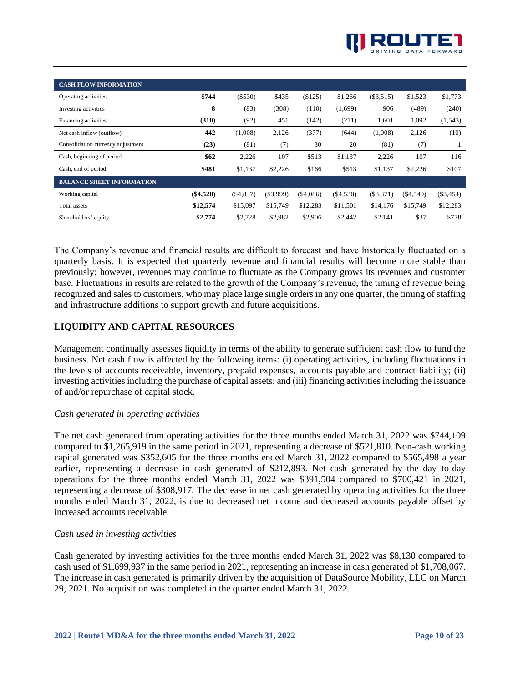| <b>CASH FLOW INFORMATION</b>      |             |            |             |            |             |             |             |             |
|-----------------------------------|-------------|------------|-------------|------------|-------------|-------------|-------------|-------------|
| Operating activities              | \$744       | $($ \$530) | \$435       | (\$125)    | \$1,266     | $(\$3,515)$ | \$1,523     | \$1,773     |
| Investing activities              | 8           | (83)       | (308)       | (110)      | (1,699)     | 906         | (489)       | (240)       |
| Financing activities              | (310)       | (92)       | 451         | (142)      | (211)       | 1,601       | 1,092       | (1, 543)    |
| Net cash inflow (outflow)         | 442         | (1,008)    | 2,126       | (377)      | (644)       | (1,008)     | 2,126       | (10)        |
| Consolidation currency adjustment | (23)        | (81)       | (7)         | 30         | 20          | (81)        | (7)         |             |
| Cash, beginning of period         | \$62        | 2,226      | 107         | \$513      | \$1,137     | 2,226       | 107         | 116         |
| Cash, end of period               | \$481       | \$1,137    | \$2,226     | \$166      | \$513       | \$1,137     | \$2,226     | \$107       |
| <b>BALANCE SHEET INFORMATION</b>  |             |            |             |            |             |             |             |             |
| Working capital                   | $(\$4,528)$ | ( \$4,837) | $(\$3,999)$ | ( \$4,086) | $(\$4,530)$ | $(\$3,371)$ | $(\$4,549)$ | $(\$3,454)$ |
| Total assets                      | \$12,574    | \$15,097   | \$15,749    | \$12,283   | \$11,501    | \$14,176    | \$15,749    | \$12,283    |
| Shareholders' equity              | \$2,774     | \$2,728    | \$2,982     | \$2,906    | \$2,442     | \$2,141     | \$37        | \$778       |

The Company's revenue and financial results are difficult to forecast and have historically fluctuated on a quarterly basis. It is expected that quarterly revenue and financial results will become more stable than previously; however, revenues may continue to fluctuate as the Company grows its revenues and customer base. Fluctuations in results are related to the growth of the Company's revenue, the timing of revenue being recognized and sales to customers, who may place large single orders in any one quarter, the timing of staffing and infrastructure additions to support growth and future acquisitions.

# **LIQUIDITY AND CAPITAL RESOURCES**

Management continually assesses liquidity in terms of the ability to generate sufficient cash flow to fund the business. Net cash flow is affected by the following items: (i) operating activities, including fluctuations in the levels of accounts receivable, inventory, prepaid expenses, accounts payable and contract liability; (ii) investing activities including the purchase of capital assets; and (iii) financing activities including the issuance of and/or repurchase of capital stock.

### *Cash generated in operating activities*

The net cash generated from operating activities for the three months ended March 31, 2022 was \$744,109 compared to \$1,265,919 in the same period in 2021, representing a decrease of \$521,810. Non-cash working capital generated was \$352,605 for the three months ended March 31, 2022 compared to \$565,498 a year earlier, representing a decrease in cash generated of \$212,893. Net cash generated by the day–to-day operations for the three months ended March 31, 2022 was \$391,504 compared to \$700,421 in 2021, representing a decrease of \$308,917. The decrease in net cash generated by operating activities for the three months ended March 31, 2022, is due to decreased net income and decreased accounts payable offset by increased accounts receivable.

### *Cash used in investing activities*

Cash generated by investing activities for the three months ended March 31, 2022 was \$8,130 compared to cash used of \$1,699,937 in the same period in 2021, representing an increase in cash generated of \$1,708,067. The increase in cash generated is primarily driven by the acquisition of DataSource Mobility, LLC on March 29, 2021. No acquisition was completed in the quarter ended March 31, 2022.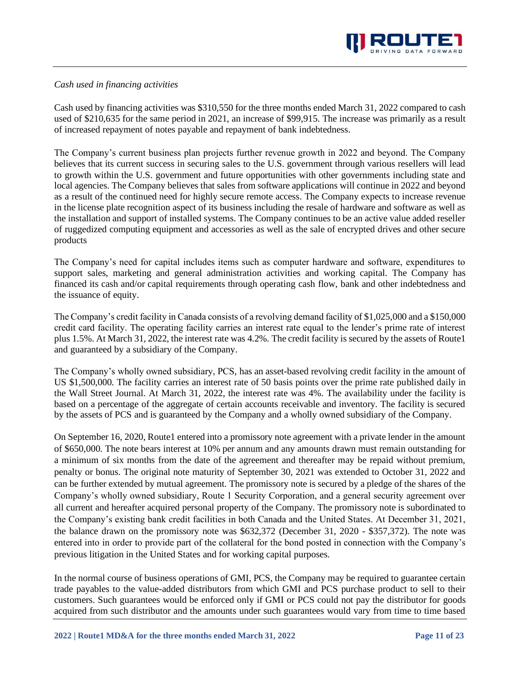

### *Cash used in financing activities*

Cash used by financing activities was \$310,550 for the three months ended March 31, 2022 compared to cash used of \$210,635 for the same period in 2021, an increase of \$99,915. The increase was primarily as a result of increased repayment of notes payable and repayment of bank indebtedness.

The Company's current business plan projects further revenue growth in 2022 and beyond. The Company believes that its current success in securing sales to the U.S. government through various resellers will lead to growth within the U.S. government and future opportunities with other governments including state and local agencies. The Company believes that sales from software applications will continue in 2022 and beyond as a result of the continued need for highly secure remote access. The Company expects to increase revenue in the license plate recognition aspect of its business including the resale of hardware and software as well as the installation and support of installed systems. The Company continues to be an active value added reseller of ruggedized computing equipment and accessories as well as the sale of encrypted drives and other secure products

The Company's need for capital includes items such as computer hardware and software, expenditures to support sales, marketing and general administration activities and working capital. The Company has financed its cash and/or capital requirements through operating cash flow, bank and other indebtedness and the issuance of equity.

The Company's credit facility in Canada consists of a revolving demand facility of \$1,025,000 and a \$150,000 credit card facility. The operating facility carries an interest rate equal to the lender's prime rate of interest plus 1.5%. At March 31, 2022, the interest rate was 4.2%. The credit facility is secured by the assets of Route1 and guaranteed by a subsidiary of the Company.

The Company's wholly owned subsidiary, PCS, has an asset-based revolving credit facility in the amount of US \$1,500,000. The facility carries an interest rate of 50 basis points over the prime rate published daily in the Wall Street Journal. At March 31, 2022, the interest rate was 4%. The availability under the facility is based on a percentage of the aggregate of certain accounts receivable and inventory. The facility is secured by the assets of PCS and is guaranteed by the Company and a wholly owned subsidiary of the Company.

On September 16, 2020, Route1 entered into a promissory note agreement with a private lender in the amount of \$650,000. The note bears interest at 10% per annum and any amounts drawn must remain outstanding for a minimum of six months from the date of the agreement and thereafter may be repaid without premium, penalty or bonus. The original note maturity of September 30, 2021 was extended to October 31, 2022 and can be further extended by mutual agreement. The promissory note is secured by a pledge of the shares of the Company's wholly owned subsidiary, Route 1 Security Corporation, and a general security agreement over all current and hereafter acquired personal property of the Company. The promissory note is subordinated to the Company's existing bank credit facilities in both Canada and the United States. At December 31, 2021, the balance drawn on the promissory note was \$632,372 (December 31, 2020 - \$357,372). The note was entered into in order to provide part of the collateral for the bond posted in connection with the Company's previous litigation in the United States and for working capital purposes.

In the normal course of business operations of GMI, PCS, the Company may be required to guarantee certain trade payables to the value-added distributors from which GMI and PCS purchase product to sell to their customers. Such guarantees would be enforced only if GMI or PCS could not pay the distributor for goods acquired from such distributor and the amounts under such guarantees would vary from time to time based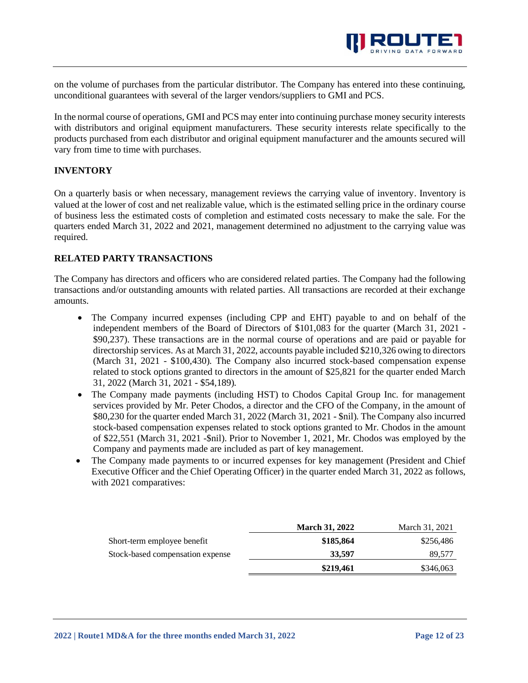

on the volume of purchases from the particular distributor. The Company has entered into these continuing, unconditional guarantees with several of the larger vendors/suppliers to GMI and PCS.

In the normal course of operations, GMI and PCS may enter into continuing purchase money security interests with distributors and original equipment manufacturers. These security interests relate specifically to the products purchased from each distributor and original equipment manufacturer and the amounts secured will vary from time to time with purchases.

### **INVENTORY**

On a quarterly basis or when necessary, management reviews the carrying value of inventory. Inventory is valued at the lower of cost and net realizable value, which is the estimated selling price in the ordinary course of business less the estimated costs of completion and estimated costs necessary to make the sale. For the quarters ended March 31, 2022 and 2021, management determined no adjustment to the carrying value was required.

### **RELATED PARTY TRANSACTIONS**

The Company has directors and officers who are considered related parties. The Company had the following transactions and/or outstanding amounts with related parties. All transactions are recorded at their exchange amounts.

- The Company incurred expenses (including CPP and EHT) payable to and on behalf of the independent members of the Board of Directors of \$101,083 for the quarter (March 31, 2021 - \$90,237). These transactions are in the normal course of operations and are paid or payable for directorship services. As at March 31, 2022, accounts payable included \$210,326 owing to directors (March 31, 2021 - \$100,430). The Company also incurred stock-based compensation expense related to stock options granted to directors in the amount of \$25,821 for the quarter ended March 31, 2022 (March 31, 2021 - \$54,189).
- The Company made payments (including HST) to Chodos Capital Group Inc. for management services provided by Mr. Peter Chodos, a director and the CFO of the Company, in the amount of \$80,230 for the quarter ended March 31, 2022 (March 31, 2021 - \$nil). The Company also incurred stock-based compensation expenses related to stock options granted to Mr. Chodos in the amount of \$22,551 (March 31, 2021 -\$nil). Prior to November 1, 2021, Mr. Chodos was employed by the Company and payments made are included as part of key management.
- The Company made payments to or incurred expenses for key management (President and Chief Executive Officer and the Chief Operating Officer) in the quarter ended March 31, 2022 as follows, with 2021 comparatives:

|                                  | <b>March 31, 2022</b> | March 31, 2021 |
|----------------------------------|-----------------------|----------------|
| Short-term employee benefit      | \$185,864             | \$256.486      |
| Stock-based compensation expense | 33,597                | 89.577         |
|                                  | \$219,461             | \$346,063      |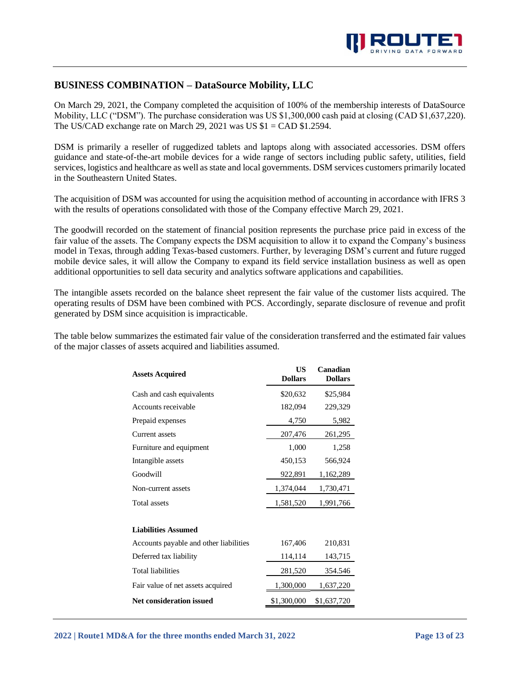# **BUSINESS COMBINATION – DataSource Mobility, LLC**

On March 29, 2021, the Company completed the acquisition of 100% of the membership interests of DataSource Mobility, LLC ("DSM"). The purchase consideration was US \$1,300,000 cash paid at closing (CAD \$1,637,220). The US/CAD exchange rate on March 29, 2021 was US  $$1 =$ CAD  $$1.2594$ .

DSM is primarily a reseller of ruggedized tablets and laptops along with associated accessories. DSM offers guidance and state-of-the-art mobile devices for a wide range of sectors including public safety, utilities, field services, logistics and healthcare as well as state and local governments. DSM services customers primarily located in the Southeastern United States.

The acquisition of DSM was accounted for using the acquisition method of accounting in accordance with IFRS 3 with the results of operations consolidated with those of the Company effective March 29, 2021.

The goodwill recorded on the statement of financial position represents the purchase price paid in excess of the fair value of the assets. The Company expects the DSM acquisition to allow it to expand the Company's business model in Texas, through adding Texas-based customers. Further, by leveraging DSM's current and future rugged mobile device sales, it will allow the Company to expand its field service installation business as well as open additional opportunities to sell data security and analytics software applications and capabilities.

The intangible assets recorded on the balance sheet represent the fair value of the customer lists acquired. The operating results of DSM have been combined with PCS. Accordingly, separate disclosure of revenue and profit generated by DSM since acquisition is impracticable.

The table below summarizes the estimated fair value of the consideration transferred and the estimated fair values of the major classes of assets acquired and liabilities assumed.

| <b>Assets Acquired</b>                 | US<br><b>Dollars</b> | Canadian<br><b>Dollars</b> |
|----------------------------------------|----------------------|----------------------------|
| Cash and cash equivalents              | \$20,632             | \$25,984                   |
| Accounts receivable                    | 182,094              | 229,329                    |
| Prepaid expenses                       | 4,750                | 5,982                      |
| Current assets                         | 207,476              | 261,295                    |
| Furniture and equipment                | 1,000                | 1,258                      |
| Intangible assets                      | 450,153              | 566,924                    |
| Goodwill                               | 922,891              | 1,162,289                  |
| Non-current assets                     | 1,374,044            | 1,730,471                  |
| Total assets                           | 1,581,520            | 1,991,766                  |
| <b>Liabilities Assumed</b>             |                      |                            |
| Accounts payable and other liabilities | 167,406              | 210,831                    |
| Deferred tax liability                 | 114,114              | 143,715                    |
| <b>Total liabilities</b>               | 281,520              | 354.546                    |
| Fair value of net assets acquired      | 1,300,000            | 1,637,220                  |
| Net consideration issued               | \$1,300,000          | \$1,637,720                |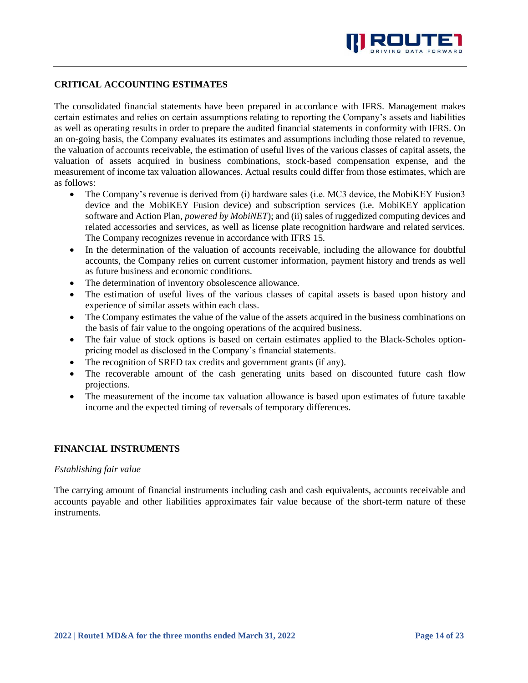# **CRITICAL ACCOUNTING ESTIMATES**

The consolidated financial statements have been prepared in accordance with IFRS. Management makes certain estimates and relies on certain assumptions relating to reporting the Company's assets and liabilities as well as operating results in order to prepare the audited financial statements in conformity with IFRS. On an on-going basis, the Company evaluates its estimates and assumptions including those related to revenue, the valuation of accounts receivable, the estimation of useful lives of the various classes of capital assets, the valuation of assets acquired in business combinations, stock-based compensation expense, and the measurement of income tax valuation allowances. Actual results could differ from those estimates, which are as follows:

- The Company's revenue is derived from (i) hardware sales (i.e. MC3 device, the MobiKEY Fusion3 device and the MobiKEY Fusion device) and subscription services (i.e. MobiKEY application software and Action Plan, *powered by MobiNET*); and (ii) sales of ruggedized computing devices and related accessories and services, as well as license plate recognition hardware and related services. The Company recognizes revenue in accordance with IFRS 15.
- In the determination of the valuation of accounts receivable, including the allowance for doubtful accounts, the Company relies on current customer information, payment history and trends as well as future business and economic conditions.
- The determination of inventory obsolescence allowance.
- The estimation of useful lives of the various classes of capital assets is based upon history and experience of similar assets within each class.
- The Company estimates the value of the value of the assets acquired in the business combinations on the basis of fair value to the ongoing operations of the acquired business.
- The fair value of stock options is based on certain estimates applied to the Black-Scholes optionpricing model as disclosed in the Company's financial statements.
- The recognition of SRED tax credits and government grants (if any).
- The recoverable amount of the cash generating units based on discounted future cash flow projections.
- The measurement of the income tax valuation allowance is based upon estimates of future taxable income and the expected timing of reversals of temporary differences.

### **FINANCIAL INSTRUMENTS**

### *Establishing fair value*

The carrying amount of financial instruments including cash and cash equivalents, accounts receivable and accounts payable and other liabilities approximates fair value because of the short-term nature of these instruments.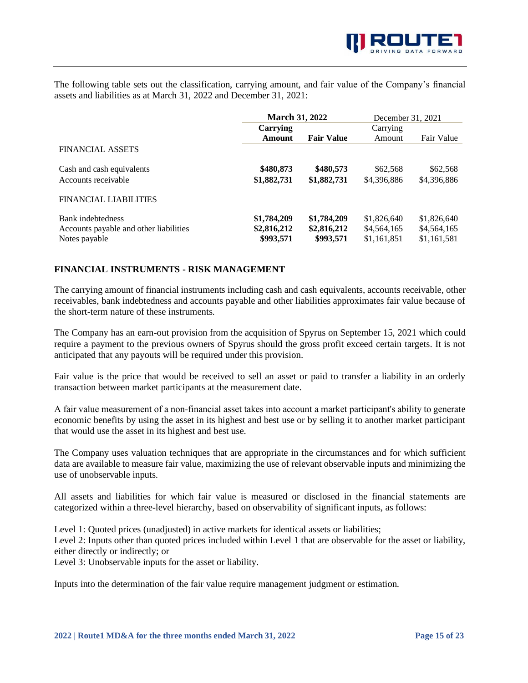

The following table sets out the classification, carrying amount, and fair value of the Company's financial assets and liabilities as at March 31, 2022 and December 31, 2021:

|                                        | <b>March 31, 2022</b> |                   | December 31, 2021 |             |
|----------------------------------------|-----------------------|-------------------|-------------------|-------------|
|                                        | Carrying              |                   | Carrying          |             |
|                                        | Amount                | <b>Fair Value</b> | Amount            | Fair Value  |
| <b>FINANCIAL ASSETS</b>                |                       |                   |                   |             |
| Cash and cash equivalents              | \$480,873             | \$480,573         | \$62,568          | \$62,568    |
| Accounts receivable                    | \$1,882,731           | \$1,882,731       | \$4,396,886       | \$4,396,886 |
| <b>FINANCIAL LIABILITIES</b>           |                       |                   |                   |             |
| Bank indebtedness                      | \$1,784,209           | \$1,784,209       | \$1,826,640       | \$1,826,640 |
| Accounts payable and other liabilities | \$2,816,212           | \$2,816,212       | \$4,564,165       | \$4,564,165 |
| Notes payable                          | \$993,571             | \$993,571         | \$1,161,851       | \$1,161,581 |

### **FINANCIAL INSTRUMENTS - RISK MANAGEMENT**

The carrying amount of financial instruments including cash and cash equivalents, accounts receivable, other receivables, bank indebtedness and accounts payable and other liabilities approximates fair value because of the short-term nature of these instruments.

The Company has an earn-out provision from the acquisition of Spyrus on September 15, 2021 which could require a payment to the previous owners of Spyrus should the gross profit exceed certain targets. It is not anticipated that any payouts will be required under this provision.

Fair value is the price that would be received to sell an asset or paid to transfer a liability in an orderly transaction between market participants at the measurement date.

A fair value measurement of a non‐financial asset takes into account a market participant's ability to generate economic benefits by using the asset in its highest and best use or by selling it to another market participant that would use the asset in its highest and best use.

The Company uses valuation techniques that are appropriate in the circumstances and for which sufficient data are available to measure fair value, maximizing the use of relevant observable inputs and minimizing the use of unobservable inputs.

All assets and liabilities for which fair value is measured or disclosed in the financial statements are categorized within a three-level hierarchy, based on observability of significant inputs, as follows:

Level 1: Quoted prices (unadjusted) in active markets for identical assets or liabilities;

Level 2: Inputs other than quoted prices included within Level 1 that are observable for the asset or liability, either directly or indirectly; or

Level 3: Unobservable inputs for the asset or liability.

Inputs into the determination of the fair value require management judgment or estimation.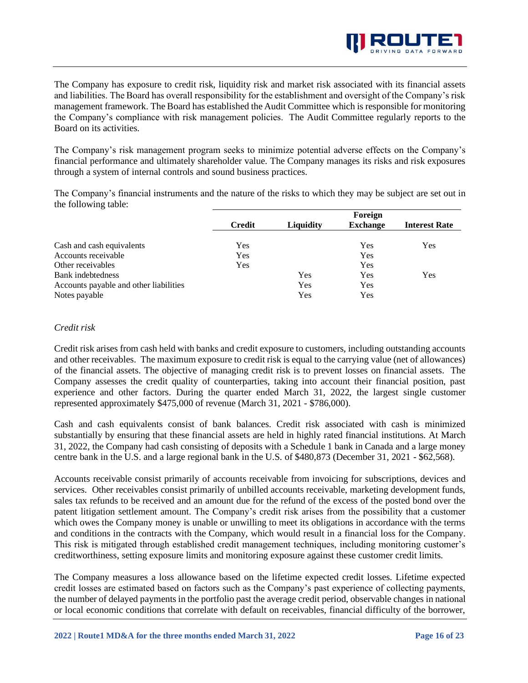

The Company has exposure to credit risk, liquidity risk and market risk associated with its financial assets and liabilities. The Board has overall responsibility for the establishment and oversight of the Company's risk management framework. The Board has established the Audit Committee which is responsible for monitoring the Company's compliance with risk management policies. The Audit Committee regularly reports to the Board on its activities.

The Company's risk management program seeks to minimize potential adverse effects on the Company's financial performance and ultimately shareholder value. The Company manages its risks and risk exposures through a system of internal controls and sound business practices.

The Company's financial instruments and the nature of the risks to which they may be subject are set out in the following table:

|                                        |               | Foreign   |                 |                      |  |  |
|----------------------------------------|---------------|-----------|-----------------|----------------------|--|--|
|                                        | <b>Credit</b> | Liquidity | <b>Exchange</b> | <b>Interest Rate</b> |  |  |
| Cash and cash equivalents              | Yes           |           | Yes             | Yes                  |  |  |
| Accounts receivable                    | Yes           |           | Yes             |                      |  |  |
| Other receivables                      | Yes           |           | Yes             |                      |  |  |
| <b>Bank</b> indebtedness               |               | Yes       | Yes             | Yes                  |  |  |
| Accounts payable and other liabilities |               | Yes       | Yes             |                      |  |  |
| Notes payable                          |               | Yes       | Yes             |                      |  |  |

### *Credit risk*

Credit risk arises from cash held with banks and credit exposure to customers, including outstanding accounts and other receivables. The maximum exposure to credit risk is equal to the carrying value (net of allowances) of the financial assets. The objective of managing credit risk is to prevent losses on financial assets. The Company assesses the credit quality of counterparties, taking into account their financial position, past experience and other factors. During the quarter ended March 31, 2022, the largest single customer represented approximately \$475,000 of revenue (March 31, 2021 - \$786,000).

Cash and cash equivalents consist of bank balances. Credit risk associated with cash is minimized substantially by ensuring that these financial assets are held in highly rated financial institutions. At March 31, 2022, the Company had cash consisting of deposits with a Schedule 1 bank in Canada and a large money centre bank in the U.S. and a large regional bank in the U.S. of \$480,873 (December 31, 2021 - \$62,568).

Accounts receivable consist primarily of accounts receivable from invoicing for subscriptions, devices and services. Other receivables consist primarily of unbilled accounts receivable, marketing development funds, sales tax refunds to be received and an amount due for the refund of the excess of the posted bond over the patent litigation settlement amount. The Company's credit risk arises from the possibility that a customer which owes the Company money is unable or unwilling to meet its obligations in accordance with the terms and conditions in the contracts with the Company, which would result in a financial loss for the Company. This risk is mitigated through established credit management techniques, including monitoring customer's creditworthiness, setting exposure limits and monitoring exposure against these customer credit limits.

The Company measures a loss allowance based on the lifetime expected credit losses. Lifetime expected credit losses are estimated based on factors such as the Company's past experience of collecting payments, the number of delayed payments in the portfolio past the average credit period, observable changes in national or local economic conditions that correlate with default on receivables, financial difficulty of the borrower,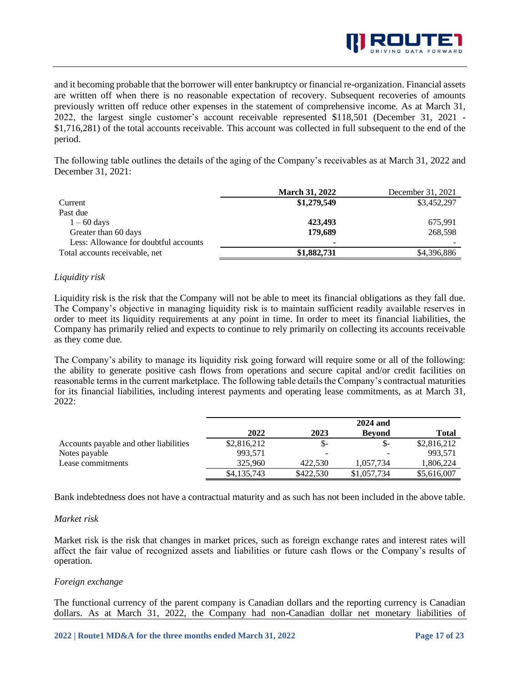

and it becoming probable that the borrower will enter bankruptcy or financial re-organization. Financial assets are written off when there is no reasonable expectation of recovery. Subsequent recoveries of amounts previously written off reduce other expenses in the statement of comprehensive income. As at March 31, 2022, the largest single customer's account receivable represented \$118,501 (December 31, 2021 - \$1,716,281) of the total accounts receivable. This account was collected in full subsequent to the end of the period.

The following table outlines the details of the aging of the Company's receivables as at March 31, 2022 and December 31, 2021:

|                                       | <b>March 31, 2022</b> | December 31, 2021 |
|---------------------------------------|-----------------------|-------------------|
| Current                               | \$1,279,549           | \$3,452,297       |
| Past due                              |                       |                   |
| $1 - 60$ days                         | 423,493               | 675.991           |
| Greater than 60 days                  | 179,689               | 268,598           |
| Less: Allowance for doubtful accounts | ۰                     |                   |
| Total accounts receivable, net        | \$1,882,731           | \$4,396,886       |

#### *Liquidity risk*

Liquidity risk is the risk that the Company will not be able to meet its financial obligations as they fall due. The Company's objective in managing liquidity risk is to maintain sufficient readily available reserves in order to meet its liquidity requirements at any point in time. In order to meet its financial liabilities, the Company has primarily relied and expects to continue to rely primarily on collecting its accounts receivable as they come due.

The Company's ability to manage its liquidity risk going forward will require some or all of the following: the ability to generate positive cash flows from operations and secure capital and/or credit facilities on reasonable terms in the current marketplace. The following table details the Company's contractual maturities for its financial liabilities, including interest payments and operating lease commitments, as at March 31, 2022:

|                                        |             |           | <b>2024 and</b> |              |
|----------------------------------------|-------------|-----------|-----------------|--------------|
|                                        | 2022        | 2023      | <b>Bevond</b>   | <b>Total</b> |
| Accounts payable and other liabilities | \$2,816,212 | \$-       | $S-$            | \$2,816,212  |
| Notes payable                          | 993,571     |           |                 | 993.571      |
| Lease commitments                      | 325,960     | 422.530   | 1.057.734       | 1,806,224    |
|                                        | \$4,135,743 | \$422,530 | \$1,057,734     | \$5,616,007  |

Bank indebtedness does not have a contractual maturity and as such has not been included in the above table.

### *Market risk*

Market risk is the risk that changes in market prices, such as foreign exchange rates and interest rates will affect the fair value of recognized assets and liabilities or future cash flows or the Company's results of operation.

### *Foreign exchange*

The functional currency of the parent company is Canadian dollars and the reporting currency is Canadian dollars. As at March 31, 2022, the Company had non-Canadian dollar net monetary liabilities of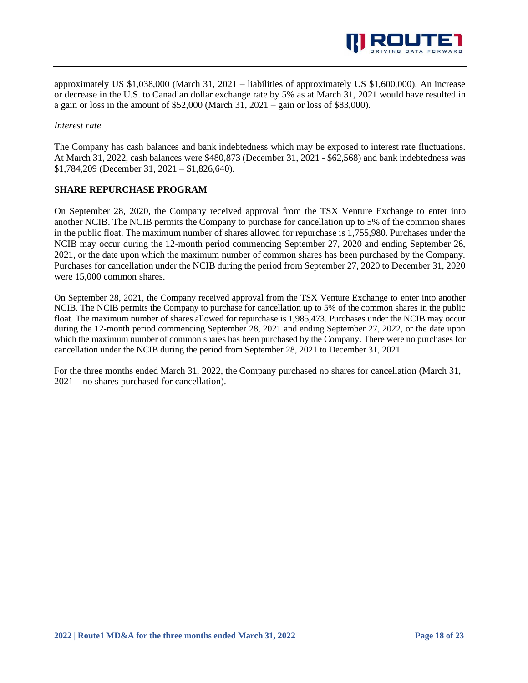

approximately US \$1,038,000 (March 31, 2021 – liabilities of approximately US \$1,600,000). An increase or decrease in the U.S. to Canadian dollar exchange rate by 5% as at March 31, 2021 would have resulted in a gain or loss in the amount of \$52,000 (March 31, 2021 – gain or loss of \$83,000).

#### *Interest rate*

The Company has cash balances and bank indebtedness which may be exposed to interest rate fluctuations. At March 31, 2022, cash balances were \$480,873 (December 31, 2021 - \$62,568) and bank indebtedness was \$1,784,209 (December 31, 2021 – \$1,826,640).

### **SHARE REPURCHASE PROGRAM**

On September 28, 2020, the Company received approval from the TSX Venture Exchange to enter into another NCIB. The NCIB permits the Company to purchase for cancellation up to 5% of the common shares in the public float. The maximum number of shares allowed for repurchase is 1,755,980. Purchases under the NCIB may occur during the 12-month period commencing September 27, 2020 and ending September 26, 2021, or the date upon which the maximum number of common shares has been purchased by the Company. Purchases for cancellation under the NCIB during the period from September 27, 2020 to December 31, 2020 were 15,000 common shares.

On September 28, 2021, the Company received approval from the TSX Venture Exchange to enter into another NCIB. The NCIB permits the Company to purchase for cancellation up to 5% of the common shares in the public float. The maximum number of shares allowed for repurchase is 1,985,473. Purchases under the NCIB may occur during the 12-month period commencing September 28, 2021 and ending September 27, 2022, or the date upon which the maximum number of common shares has been purchased by the Company. There were no purchases for cancellation under the NCIB during the period from September 28, 2021 to December 31, 2021.

For the three months ended March 31, 2022, the Company purchased no shares for cancellation (March 31, 2021 – no shares purchased for cancellation).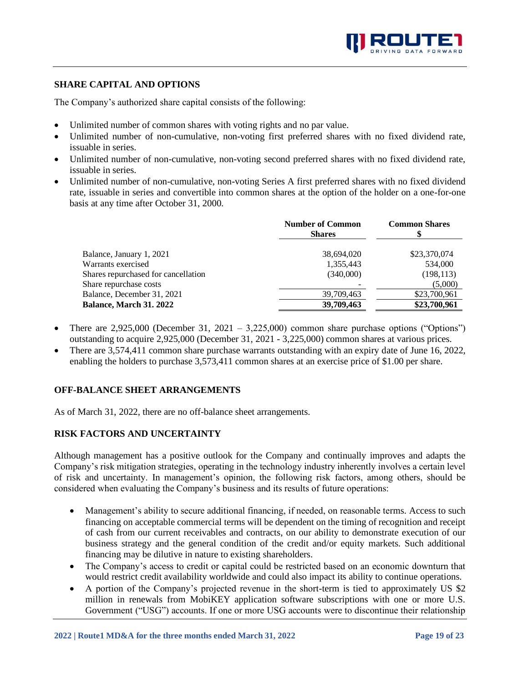# **SHARE CAPITAL AND OPTIONS**

The Company's authorized share capital consists of the following:

- Unlimited number of common shares with voting rights and no par value.
- Unlimited number of non-cumulative, non-voting first preferred shares with no fixed dividend rate, issuable in series.
- Unlimited number of non-cumulative, non-voting second preferred shares with no fixed dividend rate, issuable in series.
- Unlimited number of non-cumulative, non-voting Series A first preferred shares with no fixed dividend rate, issuable in series and convertible into common shares at the option of the holder on a one-for-one basis at any time after October 31, 2000.

|                                     | <b>Number of Common</b><br><b>Shares</b> | <b>Common Shares</b> |
|-------------------------------------|------------------------------------------|----------------------|
| Balance, January 1, 2021            | 38,694,020                               | \$23,370,074         |
| Warrants exercised                  | 1,355,443                                | 534,000              |
| Shares repurchased for cancellation | (340,000)                                | (198, 113)           |
| Share repurchase costs              |                                          | (5,000)              |
| Balance, December 31, 2021          | 39,709,463                               | \$23,700,961         |
| Balance, March 31. 2022             | 39,709,463                               | \$23,700,961         |

- There are  $2,925,000$  (December 31,  $2021 3,225,000$ ) common share purchase options ("Options") outstanding to acquire 2,925,000 (December 31, 2021 - 3,225,000) common shares at various prices.
- There are 3,574,411 common share purchase warrants outstanding with an expiry date of June 16, 2022, enabling the holders to purchase 3,573,411 common shares at an exercise price of \$1.00 per share.

### **OFF-BALANCE SHEET ARRANGEMENTS**

As of March 31, 2022, there are no off-balance sheet arrangements.

### **RISK FACTORS AND UNCERTAINTY**

Although management has a positive outlook for the Company and continually improves and adapts the Company's risk mitigation strategies, operating in the technology industry inherently involves a certain level of risk and uncertainty. In management's opinion, the following risk factors, among others, should be considered when evaluating the Company's business and its results of future operations:

- Management's ability to secure additional financing, if needed, on reasonable terms. Access to such financing on acceptable commercial terms will be dependent on the timing of recognition and receipt of cash from our current receivables and contracts, on our ability to demonstrate execution of our business strategy and the general condition of the credit and/or equity markets. Such additional financing may be dilutive in nature to existing shareholders.
- The Company's access to credit or capital could be restricted based on an economic downturn that would restrict credit availability worldwide and could also impact its ability to continue operations.
- A portion of the Company's projected revenue in the short-term is tied to approximately US \$2 million in renewals from MobiKEY application software subscriptions with one or more U.S. Government ("USG") accounts. If one or more USG accounts were to discontinue their relationship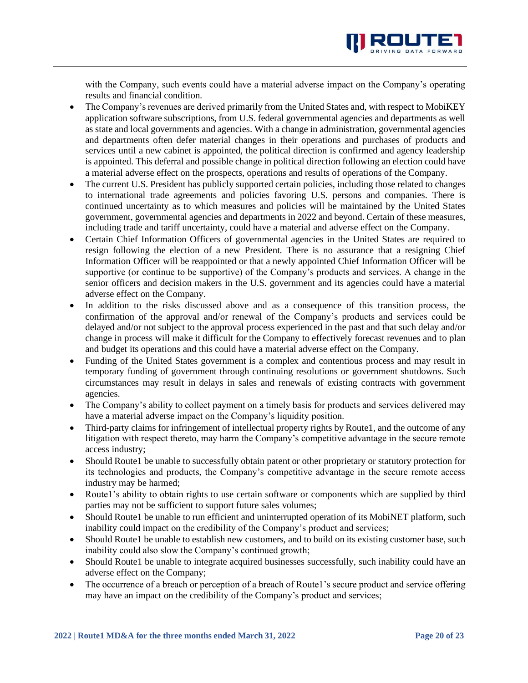

with the Company, such events could have a material adverse impact on the Company's operating results and financial condition.

- The Company's revenues are derived primarily from the United States and, with respect to MobiKEY application software subscriptions, from U.S. federal governmental agencies and departments as well as state and local governments and agencies. With a change in administration, governmental agencies and departments often defer material changes in their operations and purchases of products and services until a new cabinet is appointed, the political direction is confirmed and agency leadership is appointed. This deferral and possible change in political direction following an election could have a material adverse effect on the prospects, operations and results of operations of the Company.
- The current U.S. President has publicly supported certain policies, including those related to changes to international trade agreements and policies favoring U.S. persons and companies. There is continued uncertainty as to which measures and policies will be maintained by the United States government, governmental agencies and departments in 2022 and beyond. Certain of these measures, including trade and tariff uncertainty, could have a material and adverse effect on the Company.
- Certain Chief Information Officers of governmental agencies in the United States are required to resign following the election of a new President. There is no assurance that a resigning Chief Information Officer will be reappointed or that a newly appointed Chief Information Officer will be supportive (or continue to be supportive) of the Company's products and services. A change in the senior officers and decision makers in the U.S. government and its agencies could have a material adverse effect on the Company.
- In addition to the risks discussed above and as a consequence of this transition process, the confirmation of the approval and/or renewal of the Company's products and services could be delayed and/or not subject to the approval process experienced in the past and that such delay and/or change in process will make it difficult for the Company to effectively forecast revenues and to plan and budget its operations and this could have a material adverse effect on the Company.
- Funding of the United States government is a complex and contentious process and may result in temporary funding of government through continuing resolutions or government shutdowns. Such circumstances may result in delays in sales and renewals of existing contracts with government agencies.
- The Company's ability to collect payment on a timely basis for products and services delivered may have a material adverse impact on the Company's liquidity position.
- Third-party claims for infringement of intellectual property rights by Route1, and the outcome of any litigation with respect thereto, may harm the Company's competitive advantage in the secure remote access industry;
- Should Route1 be unable to successfully obtain patent or other proprietary or statutory protection for its technologies and products, the Company's competitive advantage in the secure remote access industry may be harmed;
- Route1's ability to obtain rights to use certain software or components which are supplied by third parties may not be sufficient to support future sales volumes;
- Should Route1 be unable to run efficient and uninterrupted operation of its MobiNET platform, such inability could impact on the credibility of the Company's product and services;
- Should Route1 be unable to establish new customers, and to build on its existing customer base, such inability could also slow the Company's continued growth;
- Should Route1 be unable to integrate acquired businesses successfully, such inability could have an adverse effect on the Company;
- The occurrence of a breach or perception of a breach of Route1's secure product and service offering may have an impact on the credibility of the Company's product and services;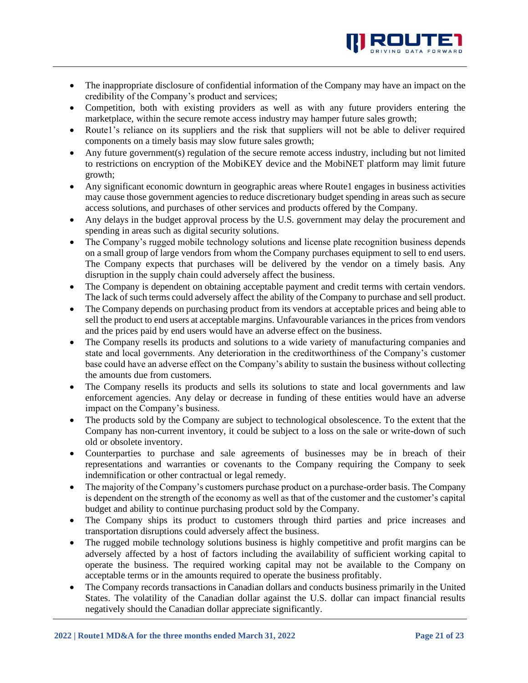

- The inappropriate disclosure of confidential information of the Company may have an impact on the credibility of the Company's product and services;
- Competition, both with existing providers as well as with any future providers entering the marketplace, within the secure remote access industry may hamper future sales growth;
- Route1's reliance on its suppliers and the risk that suppliers will not be able to deliver required components on a timely basis may slow future sales growth;
- Any future government(s) regulation of the secure remote access industry, including but not limited to restrictions on encryption of the MobiKEY device and the MobiNET platform may limit future growth;
- Any significant economic downturn in geographic areas where Route1 engages in business activities may cause those government agencies to reduce discretionary budget spending in areas such as secure access solutions, and purchases of other services and products offered by the Company.
- Any delays in the budget approval process by the U.S. government may delay the procurement and spending in areas such as digital security solutions.
- The Company's rugged mobile technology solutions and license plate recognition business depends on a small group of large vendors from whom the Company purchases equipment to sell to end users. The Company expects that purchases will be delivered by the vendor on a timely basis. Any disruption in the supply chain could adversely affect the business.
- The Company is dependent on obtaining acceptable payment and credit terms with certain vendors. The lack of such terms could adversely affect the ability of the Company to purchase and sell product.
- The Company depends on purchasing product from its vendors at acceptable prices and being able to sell the product to end users at acceptable margins. Unfavourable variances in the prices from vendors and the prices paid by end users would have an adverse effect on the business.
- The Company resells its products and solutions to a wide variety of manufacturing companies and state and local governments. Any deterioration in the creditworthiness of the Company's customer base could have an adverse effect on the Company's ability to sustain the business without collecting the amounts due from customers.
- The Company resells its products and sells its solutions to state and local governments and law enforcement agencies. Any delay or decrease in funding of these entities would have an adverse impact on the Company's business.
- The products sold by the Company are subject to technological obsolescence. To the extent that the Company has non-current inventory, it could be subject to a loss on the sale or write-down of such old or obsolete inventory.
- Counterparties to purchase and sale agreements of businesses may be in breach of their representations and warranties or covenants to the Company requiring the Company to seek indemnification or other contractual or legal remedy.
- The majority of the Company's customers purchase product on a purchase-order basis. The Company is dependent on the strength of the economy as well as that of the customer and the customer's capital budget and ability to continue purchasing product sold by the Company.
- The Company ships its product to customers through third parties and price increases and transportation disruptions could adversely affect the business.
- The rugged mobile technology solutions business is highly competitive and profit margins can be adversely affected by a host of factors including the availability of sufficient working capital to operate the business. The required working capital may not be available to the Company on acceptable terms or in the amounts required to operate the business profitably.
- The Company records transactions in Canadian dollars and conducts business primarily in the United States. The volatility of the Canadian dollar against the U.S. dollar can impact financial results negatively should the Canadian dollar appreciate significantly.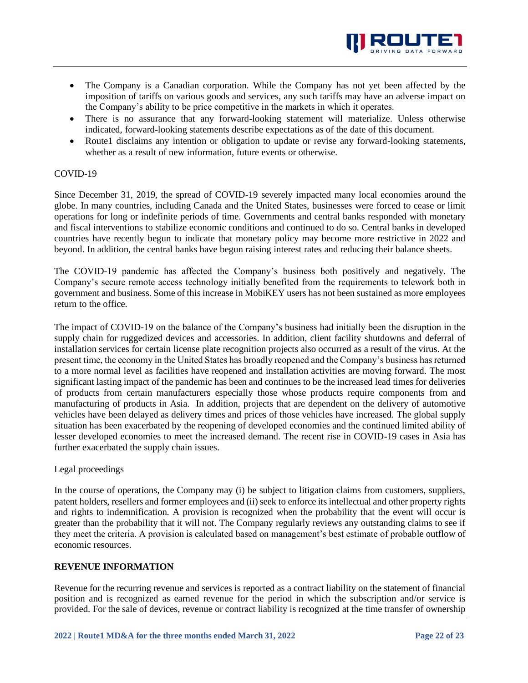

- The Company is a Canadian corporation. While the Company has not yet been affected by the imposition of tariffs on various goods and services, any such tariffs may have an adverse impact on the Company's ability to be price competitive in the markets in which it operates.
- There is no assurance that any forward-looking statement will materialize. Unless otherwise indicated, forward-looking statements describe expectations as of the date of this document.
- Route1 disclaims any intention or obligation to update or revise any forward-looking statements, whether as a result of new information, future events or otherwise.

### COVID-19

Since December 31, 2019, the spread of COVID-19 severely impacted many local economies around the globe. In many countries, including Canada and the United States, businesses were forced to cease or limit operations for long or indefinite periods of time. Governments and central banks responded with monetary and fiscal interventions to stabilize economic conditions and continued to do so. Central banks in developed countries have recently begun to indicate that monetary policy may become more restrictive in 2022 and beyond. In addition, the central banks have begun raising interest rates and reducing their balance sheets.

The COVID-19 pandemic has affected the Company's business both positively and negatively. The Company's secure remote access technology initially benefited from the requirements to telework both in government and business. Some of this increase in MobiKEY users has not been sustained as more employees return to the office.

The impact of COVID-19 on the balance of the Company's business had initially been the disruption in the supply chain for ruggedized devices and accessories. In addition, client facility shutdowns and deferral of installation services for certain license plate recognition projects also occurred as a result of the virus. At the present time, the economy in the United States has broadly reopened and the Company's business has returned to a more normal level as facilities have reopened and installation activities are moving forward. The most significant lasting impact of the pandemic has been and continues to be the increased lead times for deliveries of products from certain manufacturers especially those whose products require components from and manufacturing of products in Asia. In addition, projects that are dependent on the delivery of automotive vehicles have been delayed as delivery times and prices of those vehicles have increased. The global supply situation has been exacerbated by the reopening of developed economies and the continued limited ability of lesser developed economies to meet the increased demand. The recent rise in COVID-19 cases in Asia has further exacerbated the supply chain issues.

### Legal proceedings

In the course of operations, the Company may (i) be subject to litigation claims from customers, suppliers, patent holders, resellers and former employees and (ii) seek to enforce its intellectual and other property rights and rights to indemnification. A provision is recognized when the probability that the event will occur is greater than the probability that it will not. The Company regularly reviews any outstanding claims to see if they meet the criteria. A provision is calculated based on management's best estimate of probable outflow of economic resources.

### **REVENUE INFORMATION**

Revenue for the recurring revenue and services is reported as a contract liability on the statement of financial position and is recognized as earned revenue for the period in which the subscription and/or service is provided. For the sale of devices, revenue or contract liability is recognized at the time transfer of ownership